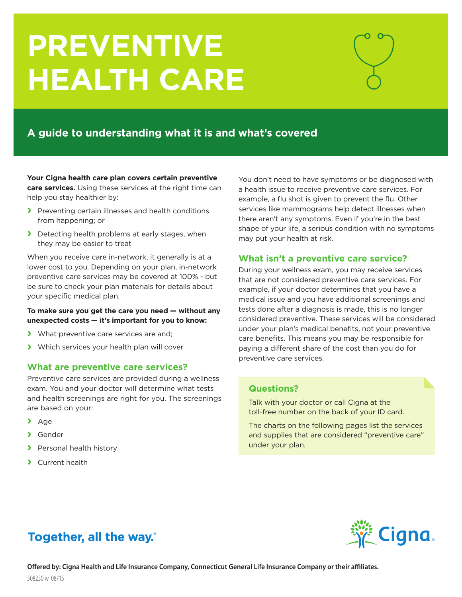# **PREVENTIVE HEALTH CARE**

# **A guide to understanding what it is and what's covered**

**Your Cigna health care plan covers certain preventive care services.** Using these services at the right time can help you stay healthier by:

- **›** Preventing certain illnesses and health conditions from happening; or
- **›** Detecting health problems at early stages, when they may be easier to treat

When you receive care in-network, it generally is at a lower cost to you. Depending on your plan, in-network preventive care services may be covered at 100% - but be sure to check your plan materials for details about your specific medical plan.

### **To make sure you get the care you need — without any unexpected costs — it's important for you to know:**

- **›** What preventive care services are and;
- **›** Which services your health plan will cover

## **What are preventive care services?**

Preventive care services are provided during a wellness exam. You and your doctor will determine what tests and health screenings are right for you. The screenings are based on your:

- **›** Age
- **›** Gender
- **›** Personal health history
- **›** Current health

You don't need to have symptoms or be diagnosed with a health issue to receive preventive care services. For example, a flu shot is given to prevent the flu. Other services like mammograms help detect illnesses when there aren't any symptoms. Even if you're in the best shape of your life, a serious condition with no symptoms may put your health at risk.

# **What isn't a preventive care service?**

During your wellness exam, you may receive services that are not considered preventive care services. For example, if your doctor determines that you have a medical issue and you have additional screenings and tests done after a diagnosis is made, this is no longer considered preventive. These services will be considered under your plan's medical benefits, not your preventive care benefits. This means you may be responsible for paying a different share of the cost than you do for preventive care services.

# **Questions?**

Talk with your doctor or call Cigna at the toll-free number on the back of your ID card.

The charts on the following pages list the services and supplies that are considered "preventive care" under your plan.

# Together, all the way.

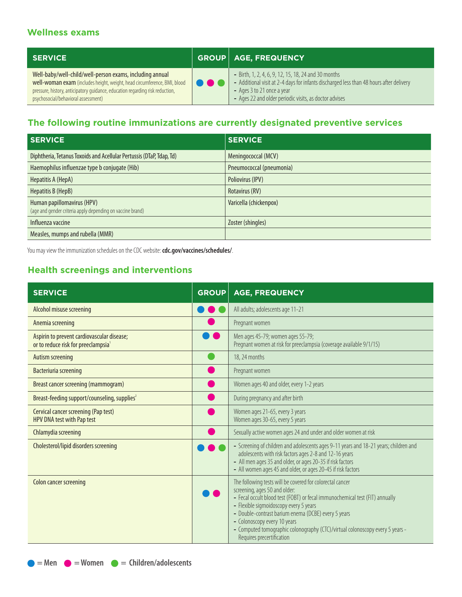# **Wellness exams**

| <b>SERVICE</b>                                                                                                                                                                                                                                               |              | GROUP   AGE, FREQUENCY                                                                                                                                                                                                                  |
|--------------------------------------------------------------------------------------------------------------------------------------------------------------------------------------------------------------------------------------------------------------|--------------|-----------------------------------------------------------------------------------------------------------------------------------------------------------------------------------------------------------------------------------------|
| Well-baby/well-child/well-person exams, including annual<br>well-woman exam (includes height, weight, head circumference, BMI, blood<br>pressure, history, anticipatory guidance, education regarding risk reduction,<br>psychosocial/behavioral assessment) | <b>. .</b> . | - Birth, 1, 2, 4, 6, 9, 12, 15, 18, 24 and 30 months<br>- Additional visit at 2-4 days for infants discharged less than 48 hours after delivery<br>- Ages 3 to 21 once a year<br>- Ages 22 and older periodic visits, as doctor advises |

# **The following routine immunizations are currently designated preventive services**

| <b>SERVICE</b>                                                                           | <b>SERVICE</b>           |
|------------------------------------------------------------------------------------------|--------------------------|
| Diphtheria, Tetanus Toxoids and Acellular Pertussis (DTaP, Tdap, Td)                     | Meningococcal (MCV)      |
| Haemophilus influenzae type b conjugate (Hib)                                            | Pneumococcal (pneumonia) |
| Hepatitis A (HepA)                                                                       | Poliovirus (IPV)         |
| Hepatitis B (HepB)                                                                       | Rotavirus (RV)           |
| Human papillomavirus (HPV)<br>(age and gender criteria apply depending on vaccine brand) | Varicella (chickenpox)   |
| Influenza vaccine                                                                        | Zoster (shingles)        |
| Measles, mumps and rubella (MMR)                                                         |                          |

You may view the immunization schedules on the CDC website: **cdc.gov/vaccines/schedules/**.

# **Health screenings and interventions**

| <b>SERVICE</b>                                                                                | <b>GROUP</b> | <b>AGE, FREQUENCY</b>                                                                                                                                                                                                                                                                                                                                                                                                     |
|-----------------------------------------------------------------------------------------------|--------------|---------------------------------------------------------------------------------------------------------------------------------------------------------------------------------------------------------------------------------------------------------------------------------------------------------------------------------------------------------------------------------------------------------------------------|
| Alcohol misuse screening                                                                      |              | All adults; adolescents age 11-21                                                                                                                                                                                                                                                                                                                                                                                         |
| Anemia screening                                                                              |              | Pregnant women                                                                                                                                                                                                                                                                                                                                                                                                            |
| Aspirin to prevent cardiovascular disease;<br>or to reduce risk for preeclampsia <sup>1</sup> |              | Men ages 45-79; women ages 55-79;<br>Pregnant women at risk for preeclampsia (coverage available 9/1/15)                                                                                                                                                                                                                                                                                                                  |
| Autism screening                                                                              |              | 18, 24 months                                                                                                                                                                                                                                                                                                                                                                                                             |
| Bacteriuria screening                                                                         |              | Pregnant women                                                                                                                                                                                                                                                                                                                                                                                                            |
| Breast cancer screening (mammogram)                                                           |              | Women ages 40 and older, every 1-2 years                                                                                                                                                                                                                                                                                                                                                                                  |
| Breast-feeding support/counseling, supplies <sup>2</sup>                                      |              | During pregnancy and after birth                                                                                                                                                                                                                                                                                                                                                                                          |
| Cervical cancer screening (Pap test)<br>HPV DNA test with Pap test                            |              | Women ages 21-65, every 3 years<br>Women ages 30-65, every 5 years                                                                                                                                                                                                                                                                                                                                                        |
| Chlamydia screening                                                                           |              | Sexually active women ages 24 and under and older women at risk                                                                                                                                                                                                                                                                                                                                                           |
| Cholesterol/lipid disorders screening                                                         |              | - Screening of children and adolescents ages 9-11 years and 18-21 years; children and<br>adolescents with risk factors ages 2-8 and 12-16 years<br>- All men ages 35 and older, or ages 20-35 if risk factors<br>- All women ages 45 and older, or ages 20-45 if risk factors                                                                                                                                             |
| Colon cancer screening                                                                        |              | The following tests will be covered for colorectal cancer<br>screening, ages 50 and older:<br>- Fecal occult blood test (FOBT) or fecal immunochemical test (FIT) annually<br>- Flexible sigmoidoscopy every 5 years<br>- Double-contrast barium enema (DCBE) every 5 years<br>- Colonoscopy every 10 years<br>- Computed tomographic colonography (CTC)/virtual colonoscopy every 5 years -<br>Requires precertification |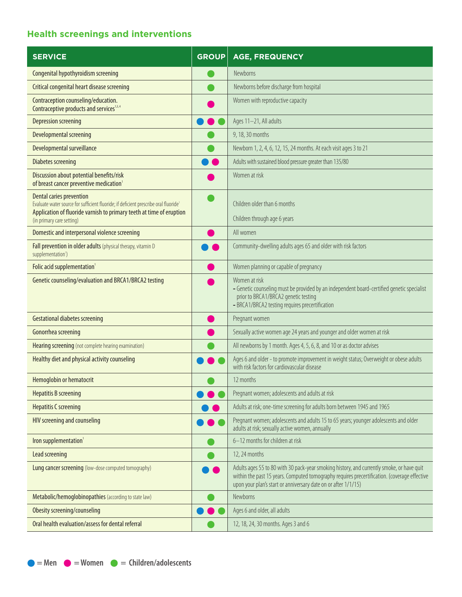# **Health screenings and interventions**

| <b>SERVICE</b>                                                                                                                                                                                       | <b>GROUP</b> | <b>AGE, FREQUENCY</b>                                                                                                                                                                                                                                       |
|------------------------------------------------------------------------------------------------------------------------------------------------------------------------------------------------------|--------------|-------------------------------------------------------------------------------------------------------------------------------------------------------------------------------------------------------------------------------------------------------------|
| Congenital hypothyroidism screening                                                                                                                                                                  |              | Newborns                                                                                                                                                                                                                                                    |
| Critical congenital heart disease screening                                                                                                                                                          |              | Newborns before discharge from hospital                                                                                                                                                                                                                     |
| Contraception counseling/education.<br>Contraceptive products and services <sup>1,3,4</sup>                                                                                                          |              | Women with reproductive capacity                                                                                                                                                                                                                            |
| Depression screening                                                                                                                                                                                 |              | Ages 11-21, All adults                                                                                                                                                                                                                                      |
| Developmental screening                                                                                                                                                                              |              | 9, 18, 30 months                                                                                                                                                                                                                                            |
| Developmental surveillance                                                                                                                                                                           |              | Newborn 1, 2, 4, 6, 12, 15, 24 months. At each visit ages 3 to 21                                                                                                                                                                                           |
| <b>Diabetes screening</b>                                                                                                                                                                            |              | Adults with sustained blood pressure greater than 135/80                                                                                                                                                                                                    |
| Discussion about potential benefits/risk<br>of breast cancer preventive medication <sup>1</sup>                                                                                                      |              | Women at risk                                                                                                                                                                                                                                               |
| Dental caries prevention<br>Evaluate water source for sufficient fluoride; if deficient prescribe oral fluoride <sup>1</sup><br>Application of fluoride varnish to primary teeth at time of eruption |              | Children older than 6 months                                                                                                                                                                                                                                |
| (in primary care setting)                                                                                                                                                                            |              | Children through age 6 years                                                                                                                                                                                                                                |
| Domestic and interpersonal violence screening                                                                                                                                                        |              | All women                                                                                                                                                                                                                                                   |
| Fall prevention in older adults (physical therapy, vitamin D<br>supplementation <sup>1</sup> )                                                                                                       |              | Community-dwelling adults ages 65 and older with risk factors                                                                                                                                                                                               |
| Folic acid supplementation <sup>1</sup>                                                                                                                                                              |              | Women planning or capable of pregnancy                                                                                                                                                                                                                      |
| Genetic counseling/evaluation and BRCA1/BRCA2 testing                                                                                                                                                |              | Women at risk<br>- Genetic counseling must be provided by an independent board-certified genetic specialist<br>prior to BRCA1/BRCA2 genetic testing<br>- BRCA1/BRCA2 testing requires precertification                                                      |
| <b>Gestational diabetes screening</b>                                                                                                                                                                |              | Pregnant women                                                                                                                                                                                                                                              |
| Gonorrhea screening                                                                                                                                                                                  |              | Sexually active women age 24 years and younger and older women at risk                                                                                                                                                                                      |
| Hearing screening (not complete hearing examination)                                                                                                                                                 |              | All newborns by 1 month. Ages 4, 5, 6, 8, and 10 or as doctor advises                                                                                                                                                                                       |
| Healthy diet and physical activity counseling                                                                                                                                                        |              | Ages 6 and older - to promote improvement in weight status; Overweight or obese adults<br>with risk factors for cardiovascular disease                                                                                                                      |
| Hemoglobin or hematocrit                                                                                                                                                                             |              | 12 months                                                                                                                                                                                                                                                   |
| <b>Hepatitis B screening</b>                                                                                                                                                                         |              | Pregnant women; adolescents and adults at risk                                                                                                                                                                                                              |
| <b>Hepatitis C screening</b>                                                                                                                                                                         |              | Adults at risk; one-time screening for adults born between 1945 and 1965                                                                                                                                                                                    |
| HIV screening and counseling                                                                                                                                                                         |              | Pregnant women; adolescents and adults 15 to 65 years; younger adolescents and older<br>adults at risk; sexually active women, annually                                                                                                                     |
| Iron supplementation <sup>1</sup>                                                                                                                                                                    |              | 6-12 months for children at risk                                                                                                                                                                                                                            |
| Lead screening                                                                                                                                                                                       |              | 12, 24 months                                                                                                                                                                                                                                               |
| Lung cancer screening (low-dose computed tomography)                                                                                                                                                 |              | Adults ages 55 to 80 with 30 pack-year smoking history, and currently smoke, or have quit<br>within the past 15 years. Computed tomography requires precertification. (coverage effective<br>upon your plan's start or anniversary date on or after 1/1/15) |
| Metabolic/hemoglobinopathies (according to state law)                                                                                                                                                |              | Newborns                                                                                                                                                                                                                                                    |
| Obesity screening/counseling                                                                                                                                                                         |              | Ages 6 and older, all adults                                                                                                                                                                                                                                |
| Oral health evaluation/assess for dental referral                                                                                                                                                    |              | 12, 18, 24, 30 months. Ages 3 and 6                                                                                                                                                                                                                         |